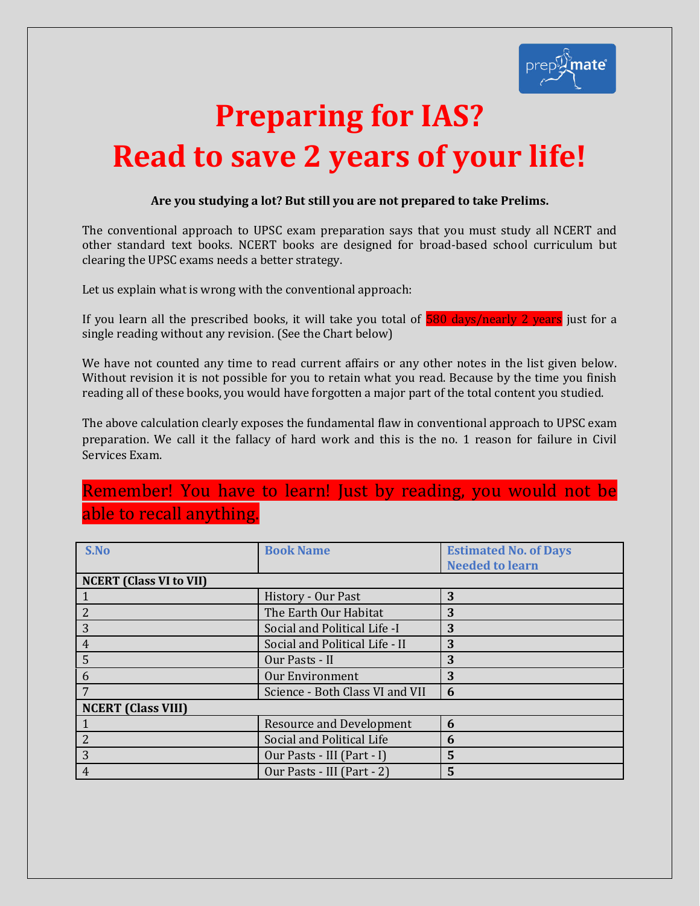

# **Preparing for IAS? Read to save 2 years of your life!**

## **Are you studying a lot? But still you are not prepared to take Prelims.**

The conventional approach to UPSC exam preparation says that you must study all NCERT and other standard text books. NCERT books are designed for broad-based school curriculum but clearing the UPSC exams needs a better strategy.

Let us explain what is wrong with the conventional approach:

If you learn all the prescribed books, it will take you total of  $\frac{580 \text{ days/nearly 2 years}}{2}$  just for a single reading without any revision. (See the Chart below)

We have not counted any time to read current affairs or any other notes in the list given below. Without revision it is not possible for you to retain what you read. Because by the time you finish reading all of these books, you would have forgotten a major part of the total content you studied.

The above calculation clearly exposes the fundamental flaw in conventional approach to UPSC exam preparation. We call it the fallacy of hard work and this is the no. 1 reason for failure in Civil Services Exam.

## Remember! You have to learn! Just by reading, you would not be able to recall anything.

| S.No                           | <b>Book Name</b>                | <b>Estimated No. of Days</b> |
|--------------------------------|---------------------------------|------------------------------|
|                                |                                 | <b>Needed to learn</b>       |
| <b>NCERT</b> (Class VI to VII) |                                 |                              |
|                                | History - Our Past              | 3                            |
| 2                              | The Earth Our Habitat           | 3                            |
| 3                              | Social and Political Life -I    | 3                            |
| $\overline{4}$                 | Social and Political Life - II  | 3                            |
| 5                              | Our Pasts - II                  | 3                            |
| 6                              | <b>Our Environment</b>          | 3                            |
|                                | Science - Both Class VI and VII | 6                            |
| <b>NCERT (Class VIII)</b>      |                                 |                              |
|                                | <b>Resource and Development</b> | 6                            |
| $\overline{2}$                 | Social and Political Life       | 6                            |
| 3                              | Our Pasts - III (Part - I)      | 5                            |
| $\overline{4}$                 | Our Pasts - III (Part - 2)      | 5                            |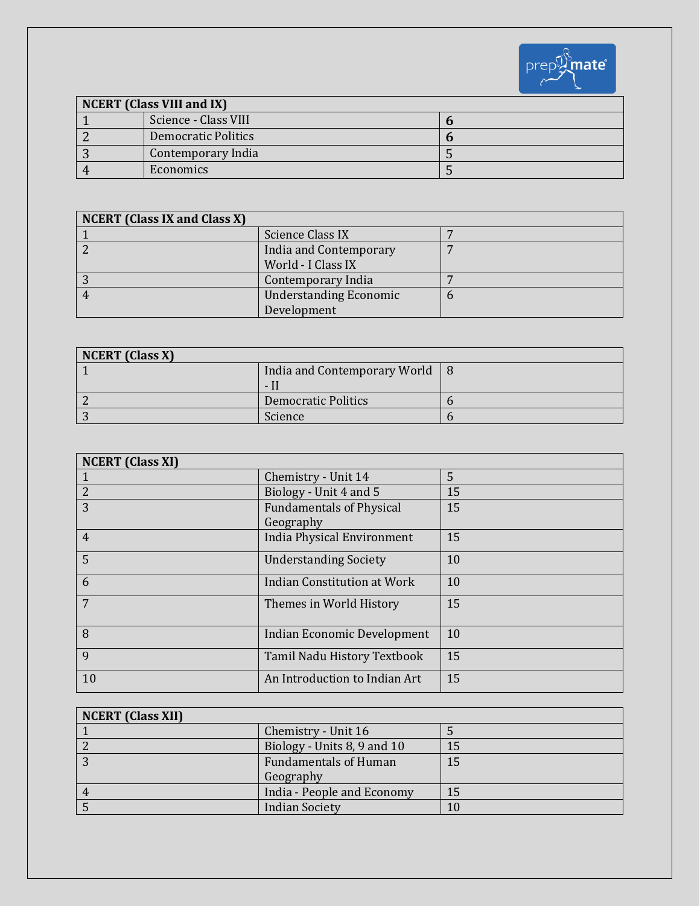

| <b>NCERT</b> (Class VIII and IX) |                            |  |
|----------------------------------|----------------------------|--|
|                                  | Science - Class VIII       |  |
|                                  | <b>Democratic Politics</b> |  |
|                                  | Contemporary India         |  |
|                                  | Economics                  |  |

| <b>NCERT</b> (Class IX and Class X) |                               |  |
|-------------------------------------|-------------------------------|--|
|                                     | Science Class IX              |  |
|                                     | India and Contemporary        |  |
|                                     | World - I Class IX            |  |
|                                     | Contemporary India            |  |
|                                     | <b>Understanding Economic</b> |  |
|                                     | Development                   |  |

| <b>NCERT</b> (Class X) |                              |  |
|------------------------|------------------------------|--|
|                        | India and Contemporary World |  |
|                        | - 11                         |  |
|                        | <b>Democratic Politics</b>   |  |
|                        | Science                      |  |

| <b>NCERT</b> (Class XI) |                                              |    |
|-------------------------|----------------------------------------------|----|
|                         | Chemistry - Unit 14                          | 5  |
| $\overline{2}$          | Biology - Unit 4 and 5                       | 15 |
| 3                       | <b>Fundamentals of Physical</b><br>Geography | 15 |
| $\overline{4}$          | <b>India Physical Environment</b>            | 15 |
| 5                       | <b>Understanding Society</b>                 | 10 |
| 6                       | <b>Indian Constitution at Work</b>           | 10 |
| 7                       | Themes in World History                      | 15 |
| 8                       | Indian Economic Development                  | 10 |
| 9                       | Tamil Nadu History Textbook                  | 15 |
| 10                      | An Introduction to Indian Art                | 15 |

| <b>NCERT</b> (Class XII) |                              |    |
|--------------------------|------------------------------|----|
|                          | Chemistry - Unit 16          |    |
|                          | Biology - Units 8, 9 and 10  | 15 |
|                          | <b>Fundamentals of Human</b> | 15 |
|                          | Geography                    |    |
|                          | India - People and Economy   | 15 |
|                          | <b>Indian Society</b>        |    |